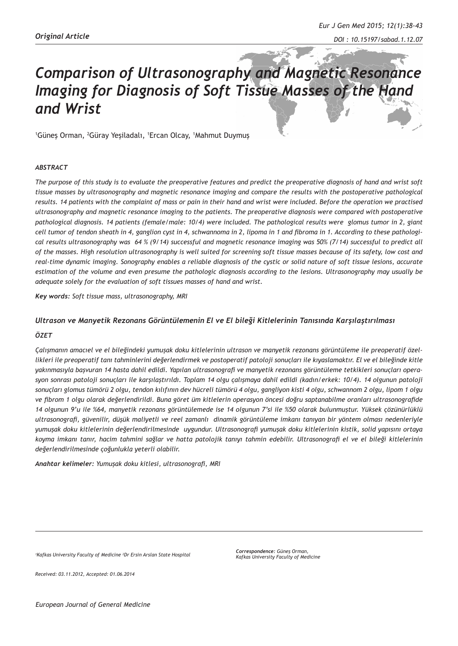# *Comparison of Ultrasonography and Magnetic Resonance Imaging for Diagnosis of Soft Tissue Masses of the Hand and Wrist*

1 Güneş Orman, <sup>2</sup> Güray Yeşiladalı, <sup>1</sup> Ercan Olcay, <sup>1</sup> Mahmut Duymuş

#### *ABSTRACT*

*The purpose of this study is to evaluate the preoperative features and predict the preoperative diagnosis of hand and wrist soft tissue masses by ultrasonography and magnetic resonance imaging and compare the results with the postoperative pathological results. 14 patients with the complaint of mass or pain in their hand and wrist were included. Before the operation we practised ultrasonography and magnetic resonance imaging to the patients. The preoperative diagnosis were compared with postoperative pathological diagnosis. 14 patients (female/male: 10/4) were included. The pathological results were glomus tumor in 2, giant cell tumor of tendon sheath in 4, ganglion cyst in 4, schwannoma in 2, lipoma in 1 and fibroma in 1. According to these pathological results ultrasonography was 64 % (9/14) successful and magnetic resonance imaging was 50% (7/14) successful to predict all of the masses. High resolution ultrasonography is well suited for screening soft tissue masses because of its safety, low cost and real-time dynamic imaging. Sonography enables a reliable diagnosis of the cystic or solid nature of soft tissue lesions, accurate estimation of the volume and even presume the pathologic diagnosis according to the lesions. Ultrasonography may usually be adequate solely for the evaluation of soft tissues masses of hand and wrist.* 

*Key words: Soft tissue mass, ultrasonography, MRI*

#### *Ultrason ve Manyetik Rezonans Görüntülemenin El ve El bileği Kitlelerinin Tanısında Karşılaştırılması*

#### *ÖZET*

*Çalışmanın amacıel ve el bileğindeki yumuşak doku kitlelerinin ultrason ve manyetik rezonans görüntüleme ile preoperatif özellikleri ile preoperatif tanı tahminlerini değerlendirmek ve postoperatif patoloji sonuçları ile kıyaslamaktır. El ve el bileğinde kitle yakınmasıyla başvuran 14 hasta dahil edildi. Yapılan ultrasonografi ve manyetik rezonans görüntüleme tetkikleri sonuçları operasyon sonrası patoloji sonuçları ile karşılaştırıldı. Toplam 14 olgu çalışmaya dahil edildi (kadın/erkek: 10/4). 14 olgunun patoloji sonuçları glomus tümörü 2 olgu, tendon kılıfının dev hücreli tümörü 4 olgu, gangliyon kisti 4 olgu, schwannom 2 olgu, lipom 1 olgu ve fibrom 1 olgu olarak değerlendirildi. Buna göret üm kitlelerin operasyon öncesi doğru saptanabilme oranları ultrasonografide 14 olgunun 9'u ile %64, manyetik rezonans görüntülemede ise 14 olgunun 7'si ile %50 olarak bulunmuştur. Yüksek çözünürlüklü ultrasonografi, güvenilir, düşük maliyetli ve reel zamanlı dinamik görüntüleme imkanı tanıyan bir yöntem olması nedenleriyle yumuşak doku kitlelerinin değerlendirilmesinde uygundur. Ultrasonografi yumuşak doku kitlelerinin kistik, solid yapısını ortaya koyma imkanı tanır, hacim tahmini sağlar ve hatta patolojik tanıyı tahmin edebilir. Ultrasonografi el ve el bileği kitlelerinin değerlendirilmesinde çoğunlukla yeterli olabilir.*

*Anahtar kelimeler: Yumuşak doku kitlesi, ultrasonografi, MRI*

<sup>1</sup> Kafkas University Faculty of Medicine <sup>2</sup>Dr Ersin Arslan State Hospital

*Correspondence: Güneş Orman, Kafkas University Faculty of Medicine*

*Received: 03.11.2012, Accepted: 01.06.2014*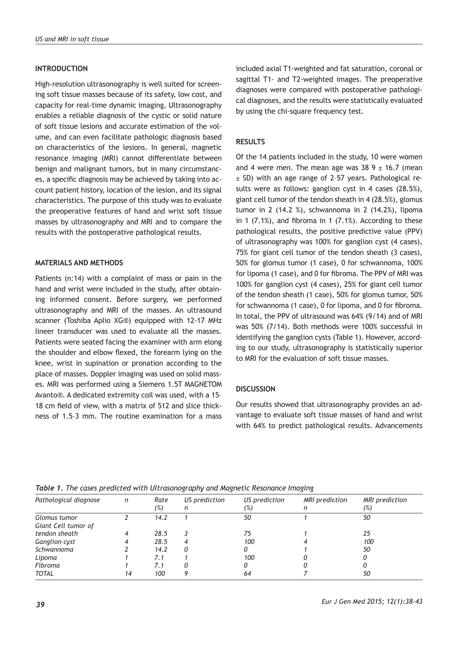# **INTRODUCTION**

High-resolution ultrasonography is well suited for screening soft tissue masses because of its safety, low cost, and capacity for real-time dynamic imaging. Ultrasonography enables a reliable diagnosis of the cystic or solid nature of soft tissue lesions and accurate estimation of the volume, and can even facilitate pathologic diagnosis based on characteristics of the lesions. In general, magnetic resonance imaging (MRI) cannot differentiate between benign and malignant tumors, but in many circumstances, a specific diagnosis may be achieved by taking into account patient history, location of the lesion, and its signal characteristics. The purpose of this study was to evaluate the preoperative features of hand and wrist soft tissue masses by ultrasonography and MRI and to compare the results with the postoperative pathological results.

# **MATERIALS AND METHODS**

Patients (n:14) with a complaint of mass or pain in the hand and wrist were included in the study, after obtaining informed consent. Before surgery, we performed ultrasonography and MRI of the masses. An ultrasound scanner (Toshiba Aplio XG®) equipped with 12-17 MHz lineer transducer was used to evaluate all the masses. Patients were seated facing the examiner with arm elong the shoulder and elbow flexed, the forearm lying on the knee, wrist in supination or pronation according to the place of masses. Doppler imaging was used on solid masses. MRI was performed using a Siemens 1.5T MAGNETOM Avanto®. A dedicated extremity coil was used, with a 15– 18 cm field of view, with a matrix of 512 and slice thickness of 1.5–3 mm. The routine examination for a mass

included axial T1-weighted and fat saturation, coronal or sagittal T1- and T2-weighted images. The preoperative diagnoses were compared with postoperative pathological diagnoses, and the results were statistically evaluated by using the chi-square frequency test.

# **RESULTS**

Of the 14 patients included in the study, 10 were women and 4 were men. The mean age was  $38.9 \pm 16.7$  (mean ± SD) with an age range of 2–57 years. Pathological results were as follows: ganglion cyst in 4 cases (28.5%), giant cell tumor of the tendon sheath in 4 (28.5%), glomus tumor in 2 (14.2 %), schwannoma in 2 (14.2%), lipoma in 1  $(7.1%)$ , and fibroma in 1  $(7.1%)$ . According to these pathological results, the positive predictive value (PPV) of ultrasonography was 100% for ganglion cyst (4 cases), 75% for giant cell tumor of the tendon sheath (3 cases), 50% for glomus tumor (1 case), 0 for schwannoma, 100% for lipoma (1 case), and 0 for fibroma. The PPV of MRI was 100% for ganglion cyst (4 cases), 25% for giant cell tumor of the tendon sheath (1 case), 50% for glomus tumor, 50% for schwannoma (1 case), 0 for lipoma, and 0 for fibroma. In total, the PPV of ultrasound was 64% (9/14) and of MRI was 50% (7/14). Both methods were 100% successful in identifying the ganglion cysts (Table 1). However, according to our study, ultrasonography is statistically superior to MRI for the evaluation of soft tissue masses.

# **DISCUSSION**

Our results showed that ultrasonography provides an advantage to evaluate soft tissue masses of hand and wrist with 64% to predict pathological results. Advancements

| Pathological diagnose | n  | Rate<br>(%) | US prediction<br>n | US prediction<br>(%) | MRI prediction<br>n | MRI prediction<br>(%) |
|-----------------------|----|-------------|--------------------|----------------------|---------------------|-----------------------|
| Glomus tumor          |    | 14.2        |                    | 50                   |                     | 50                    |
| Giant Cell tumor of   |    |             |                    |                      |                     |                       |
| tendon sheath         |    | 28.5        |                    | 75                   |                     | 25                    |
| <b>Ganglion cyst</b>  |    | 28.5        |                    | 100                  |                     | 100                   |
| Schwannoma            |    | 14.2        | Ω                  | Ω                    |                     | 50                    |
| Lipoma                |    | 7.1         |                    | 100                  |                     | 0                     |
| Fibroma               |    | 7.1         |                    | Ω                    |                     |                       |
| <b>TOTAL</b>          | 14 | 100         |                    | 64                   |                     | 50                    |

*Table 1. The cases predicted with Ultrasonography and Magnetic Resonance Imaging*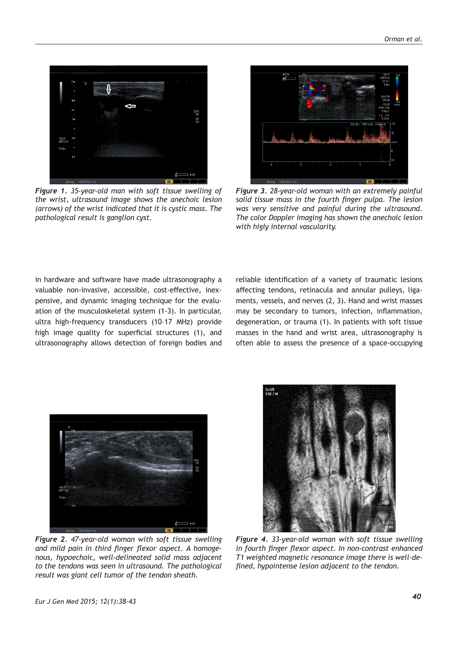

*Figure 1. 35-year-old man with soft tissue swelling of the wrist, ultrasound image shows the anechoic lesion (arrows) of the wrist indicated that it is cystic mass. The pathological result is ganglion cyst.*



*Figure 3. 28-year-old woman with an extremely painful solid tissue mass in the fourth finger pulpa. The lesion was very sensitive and painful during the ultrasound. The color Doppler imaging has shown the anechoic lesion with higly internal vascularity.*

in hardware and software have made ultrasonography a valuable non-invasive, accessible, cost-effective, inexpensive, and dynamic imaging technique for the evaluation of the musculoskeletal system (1-3). In particular, ultra high-frequency transducers (10–17 MHz) provide high image quality for superficial structures (1), and ultrasonography allows detection of foreign bodies and

reliable identification of a variety of traumatic lesions affecting tendons, retinacula and annular pulleys, ligaments, vessels, and nerves (2, 3). Hand and wrist masses may be secondary to tumors, infection, inflammation, degeneration, or trauma (1). In patients with soft tissue masses in the hand and wrist area, ultrasonography is often able to assess the presence of a space-occupying



*Figure 2. 47-year-old woman with soft tissue swelling and mild pain in third finger flexor aspect. A homogenous, hypoechoic, well-delineated solid mass adjacent to the tendons was seen in ultrasound. The pathological result was giant cell tumor of the tendon sheath.*



*Figure 4. 33-year-old woman with soft tissue swelling in fourth finger flexor aspect. In non-contrast enhanced T1 weighted magnetic resonance image there is well-defined, hypointense lesion adjacent to the tendon.*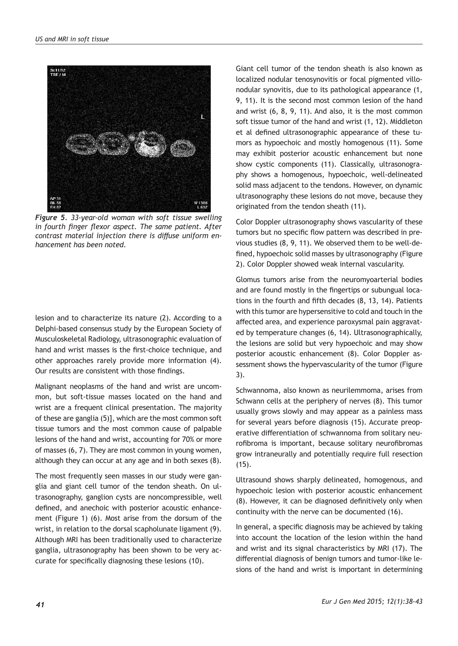

*Figure 5. 33-year-old woman with soft tissue swelling in fourth finger flexor aspect. The same patient. After contrast material injection there is diffuse uniform enhancement has been noted.* 

lesion and to characterize its nature (2). According to a Delphi-based consensus study by the European Society of Musculoskeletal Radiology, ultrasonographic evaluation of hand and wrist masses is the first-choice technique, and other approaches rarely provide more information (4). Our results are consistent with those findings.

Malignant neoplasms of the hand and wrist are uncommon, but soft-tissue masses located on the hand and wrist are a frequent clinical presentation. The majority of these are ganglia (5)], which are the most common soft tissue tumors and the most common cause of palpable lesions of the hand and wrist, accounting for 70% or more of masses (6, 7). They are most common in young women, although they can occur at any age and in both sexes (8).

The most frequently seen masses in our study were ganglia and giant cell tumor of the tendon sheath. On ultrasonography, ganglion cysts are noncompressible, well defined, and anechoic with posterior acoustic enhancement (Figure 1) (6). Most arise from the dorsum of the wrist, in relation to the dorsal scapholunate ligament (9). Although MRI has been traditionally used to characterize ganglia, ultrasonography has been shown to be very accurate for specifically diagnosing these lesions (10).

Giant cell tumor of the tendon sheath is also known as localized nodular tenosynovitis or focal pigmented villonodular synovitis, due to its pathological appearance (1, 9, 11). It is the second most common lesion of the hand and wrist (6, 8, 9, 11). And also, it is the most common soft tissue tumor of the hand and wrist (1, 12). Middleton et al defined ultrasonographic appearance of these tumors as hypoechoic and mostly homogenous (11). Some may exhibit posterior acoustic enhancement but none show cystic components (11). Classically, ultrasonography shows a homogenous, hypoechoic, well-delineated solid mass adjacent to the tendons. However, on dynamic ultrasonography these lesions do not move, because they originated from the tendon sheath (11).

Color Doppler ultrasonography shows vascularity of these tumors but no specific flow pattern was described in previous studies (8, 9, 11). We observed them to be well-defined, hypoechoic solid masses by ultrasonography (Figure 2). Color Doppler showed weak internal vascularity.

Glomus tumors arise from the neuromyoarterial bodies and are found mostly in the fingertips or subungual locations in the fourth and fifth decades (8, 13, 14). Patients with this tumor are hypersensitive to cold and touch in the affected area, and experience paroxysmal pain aggravated by temperature changes (6, 14). Ultrasonographically, the lesions are solid but very hypoechoic and may show posterior acoustic enhancement (8). Color Doppler assessment shows the hypervascularity of the tumor (Figure 3).

Schwannoma, also known as neurilemmoma, arises from Schwann cells at the periphery of nerves (8). This tumor usually grows slowly and may appear as a painless mass for several years before diagnosis (15). Accurate preoperative differentiation of schwannoma from solitary neurofibroma is important, because solitary neurofibromas grow intraneurally and potentially require full resection (15).

Ultrasound shows sharply delineated, homogenous, and hypoechoic lesion with posterior acoustic enhancement (8). However, it can be diagnosed definitively only when continuity with the nerve can be documented (16).

In general, a specific diagnosis may be achieved by taking into account the location of the lesion within the hand and wrist and its signal characteristics by MRI (17). The differential diagnosis of benign tumors and tumor-like lesions of the hand and wrist is important in determining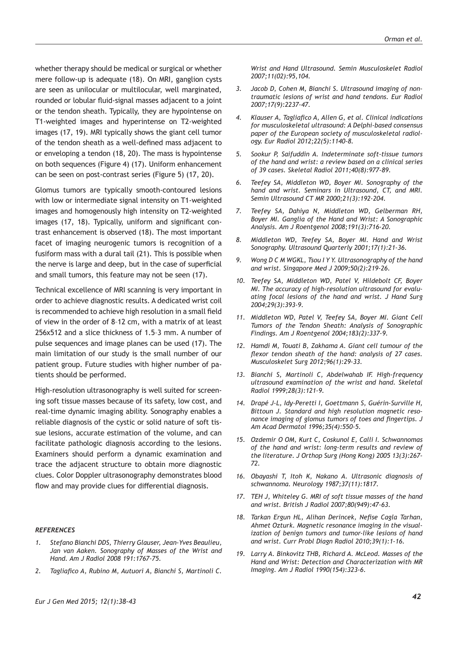whether therapy should be medical or surgical or whether mere follow-up is adequate (18). On MRI, ganglion cysts are seen as unilocular or multilocular, well marginated, rounded or lobular fluid-signal masses adjacent to a joint or the tendon sheath. Typically, they are hypointense on T1-weighted images and hyperintense on T2-weighted images (17, 19). MRI typically shows the giant cell tumor of the tendon sheath as a well-defined mass adjacent to or enveloping a tendon (18, 20). The mass is hypointense on both sequences (Figure 4) (17). Uniform enhancement can be seen on post-contrast series (Figure 5) (17, 20).

Glomus tumors are typically smooth-contoured lesions with low or intermediate signal intensity on T1-weighted images and homogenously high intensity on T2-weighted images (17, 18). Typically, uniform and significant contrast enhancement is observed (18). The most important facet of imaging neurogenic tumors is recognition of a fusiform mass with a dural tail (21). This is possible when the nerve is large and deep, but in the case of superficial and small tumors, this feature may not be seen (17).

Technical excellence of MRI scanning is very important in order to achieve diagnostic results. A dedicated wrist coil is recommended to achieve high resolution in a small field of view in the order of 8–12 cm, with a matrix of at least 256x512 and a slice thickness of 1.5–3 mm. A number of pulse sequences and image planes can be used (17). The main limitation of our study is the small number of our patient group. Future studies with higher number of patients should be performed.

High-resolution ultrasonography is well suited for screening soft tissue masses because of its safety, low cost, and real-time dynamic imaging ability. Sonography enables a reliable diagnosis of the cystic or solid nature of soft tissue lesions, accurate estimation of the volume, and can facilitate pathologic diagnosis according to the lesions. Examiners should perform a dynamic examination and trace the adjacent structure to obtain more diagnostic clues. Color Doppler ultrasonography demonstrates blood flow and may provide clues for differential diagnosis.

#### *REFERENCES*

- *1. Stefano Bianchi DDS, Thierry Glauser, Jean-Yves Beaulieu, Jan van Aaken. Sonography of Masses of the Wrist and Hand. Am J Radiol 2008 191:1767-75.*
- *2. Tagliafico A, Rubino M, Autuori A, Bianchi S, Martinoli C.*

*Wrist and Hand Ultrasound. Semin Musculoskelet Radiol 2007;11(02):95,104.*

- *3. Jacob D, Cohen M, Bianchi S. Ultrasound imaging of nontraumatic lesions of wrist and hand tendons. Eur Radiol 2007;17(9):2237-47.*
- *4. Klauser A, Tagliafico A, Allen G, et al. Clinical indications for musculoskeletal ultrasound: A Delphi-based consensus paper of the European society of musculoskeletal radiology. Eur Radiol 2012;22(5):1140-8.*
- *5. Sookur P, Saifuddin A. Indeterminate soft-tissue tumors of the hand and wrist: a review based on a clinical series of 39 cases. Skeletal Radiol 2011;40(8):977-89.*
- *6. Teefey SA, Middleton WD, Boyer MI. Sonography of the hand and wrist. Seminars in Ultrasound, CT, and MRI. Semin Ultrasound CT MR 2000;21(3):192-204.*
- *7. Teefey SA, Dahiya N, Middleton WD, Gelberman RH, Boyer MI. Ganglia of the Hand and Wrist: A Sonographic Analysis. Am J Roentgenol 2008;191(3):716-20.*
- *8. Middleton WD, Teefey SA, Boyer MI. Hand and Wrist Sonography. Ultrasound Quarterly 2001;17(1):21-36.*
- *9. Wong D C M WGKL, Tsou I Y Y. Ultrasonography of the hand and wrist. Singapore Med J 2009;50(2):219-26.*
- *10. Teefey SA, Middleton WD, Patel V, Hildebolt CF, Boyer MI. The accuracy of high-resolution ultrasound for evaluating focal lesions of the hand and wrist. J Hand Surg 2004;29(3):393-9.*
- *11. Middleton WD, Patel V, Teefey SA, Boyer MI. Giant Cell Tumors of the Tendon Sheath: Analysis of Sonographic Findings. Am J Roentgenol 2004;183(2):337-9.*
- *12. Hamdi M, Touati B, Zakhama A. Giant cell tumour of the flexor tendon sheath of the hand: analysis of 27 cases. Musculoskelet Surg 2012;96(1):29-33.*
- *13. Bianchi S, Martinoli C, Abdelwahab IF. High-frequency ultrasound examination of the wrist and hand. Skeletal Radiol 1999;28(3):121-9.*
- *14. Drapé J-L, Idy-Peretti I, Goettmann S, Guérin-Surville H, Bittoun J. Standard and high resolution magnetic resonance imaging of glomus tumors of toes and fingertips. J Am Acad Dermatol 1996;35(4):550-5.*
- *15. Ozdemir O OM, Kurt C, Coskunol E, Calli I. Schwannomas of the hand and wrist: long-term results and review of the literature. J Orthop Surg (Hong Kong) 2005 13(3):267- 72.*
- *16. Obayashi T, Itoh K, Nakano A. Ultrasonic diagnosis of schwannoma. Neurology 1987;37(11):1817.*
- *17. TEH J, Whiteley G. MRI of soft tissue masses of the hand and wrist. British J Radiol 2007;80(949):47-63.*
- *18. Tarkan Ergun HL, Alihan Derincek, Nefise Cagla Tarhan, Ahmet Ozturk. Magnetic resonance imaging in the visualization of benign tumors and tumor-like lesions of hand and wrist. Curr Probl Diagn Radiol 2010;39(1):1-16.*
- *19. Larry A. Binkovitz THB, Richard A. McLeod. Masses of the Hand and Wrist: Detection and Characterization with MR Imaging. Am J Radiol 1990(154):323-6.*